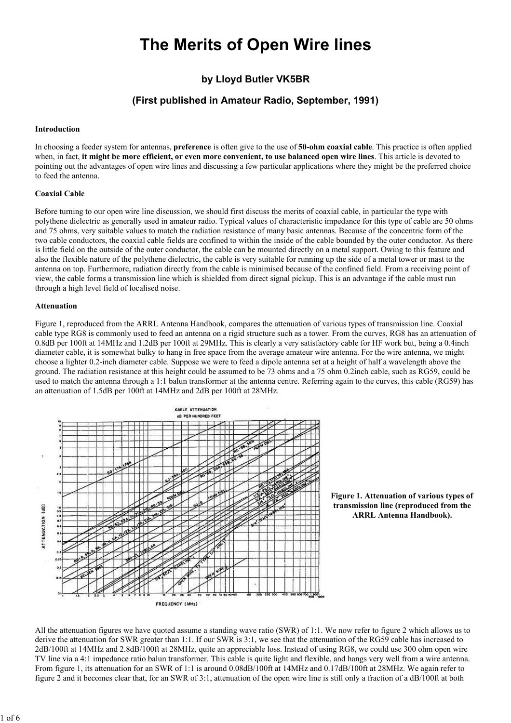# The Merits of Open Wire lines

# by Lloyd Butler VK5BR

# (First published in Amateur Radio, September, 1991)

#### Introduction

In choosing a feeder system for antennas, **preference** is often give to the use of **50-ohm coaxial cable**. This practice is often applied when, in fact, it might be more efficient, or even more convenient, to use balanced open wire lines. This article is devoted to pointing out the advantages of open wire lines and discussing a few particular applications where they might be the preferred choice to feed the antenna.

### Coaxial Cable

Before turning to our open wire line discussion, we should first discuss the merits of coaxial cable, in particular the type with polythene dielectric as generally used in amateur radio. Typical values of characteristic impedance for this type of cable are 50 ohms and 75 ohms, very suitable values to match the radiation resistance of many basic antennas. Because of the concentric form of the two cable conductors, the coaxial cable fields are confined to within the inside of the cable bounded by the outer conductor. As there is little field on the outside of the outer conductor, the cable can be mounted directly on a metal support. Owing to this feature and also the flexible nature of the polythene dielectric, the cable is very suitable for running up the side of a metal tower or mast to the antenna on top. Furthermore, radiation directly from the cable is minimised because of the confined field. From a receiving point of view, the cable forms a transmission line which is shielded from direct signal pickup. This is an advantage if the cable must run through a high level field of localised noise.

#### Attenuation

Figure 1, reproduced from the ARRL Antenna Handbook, compares the attenuation of various types of transmission line. Coaxial cable type RG8 is commonly used to feed an antenna on a rigid structure such as a tower. From the curves, RG8 has an attenuation of 0.8dB per 100ft at 14MHz and 1.2dB per 100ft at 29MHz. This is clearly a very satisfactory cable for HF work but, being a 0.4inch diameter cable, it is somewhat bulky to hang in free space from the average amateur wire antenna. For the wire antenna, we might choose a lighter 0.2-inch diameter cable. Suppose we were to feed a dipole antenna set at a height of half a wavelength above the ground. The radiation resistance at this height could be assumed to be 73 ohms and a 75 ohm 0.2inch cable, such as RG59, could be used to match the antenna through a 1:1 balun transformer at the antenna centre. Referring again to the curves, this cable (RG59) has an attenuation of 1.5dB per 100ft at 14MHz and 2dB per 100ft at 28MHz.





All the attenuation figures we have quoted assume a standing wave ratio (SWR) of 1:1. We now refer to figure 2 which allows us to derive the attenuation for SWR greater than 1:1. If our SWR is 3:1, we see that the attenuation of the RG59 cable has increased to 2dB/100ft at 14MHz and 2.8dB/100ft at 28MHz, quite an appreciable loss. Instead of using RG8, we could use 300 ohm open wire TV line via a 4:1 impedance ratio balun transformer. This cable is quite light and flexible, and hangs very well from a wire antenna. From figure 1, its attenuation for an SWR of 1:1 is around 0.08dB/100ft at 14MHz and 0.17dB/100ft at 28MHz. We again refer to figure 2 and it becomes clear that, for an SWR of 3:1, attenuation of the open wire line is still only a fraction of a dB/100ft at both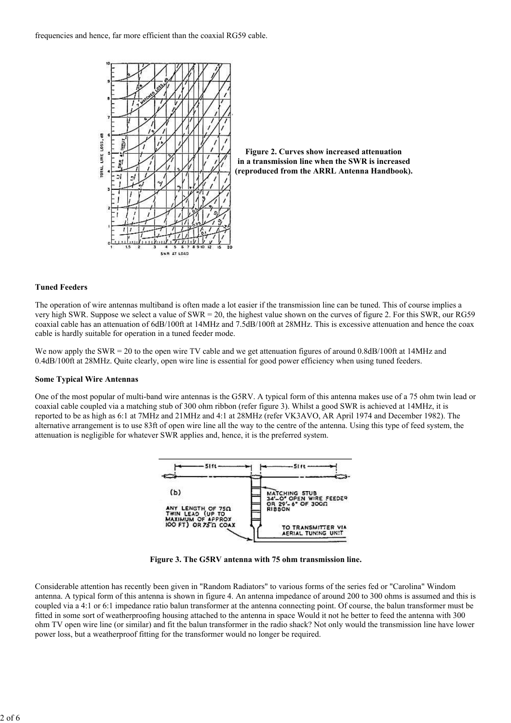



# Tuned Feeders

The operation of wire antennas multiband is often made a lot easier if the transmission line can be tuned. This of course implies a very high SWR. Suppose we select a value of SWR = 20, the highest value shown on the curves of figure 2. For this SWR, our RG59 coaxial cable has an attenuation of 6dB/100ft at 14MHz and 7.5dB/100ft at 28MHz. This is excessive attenuation and hence the coax cable is hardly suitable for operation in a tuned feeder mode.

We now apply the SWR = 20 to the open wire TV cable and we get attenuation figures of around 0.8dB/100ft at 14MHz and 0.4dB/100ft at 28MHz. Quite clearly, open wire line is essential for good power efficiency when using tuned feeders.

#### Some Typical Wire Antennas

One of the most popular of multi-band wire antennas is the G5RV. A typical form of this antenna makes use of a 75 ohm twin lead or coaxial cable coupled via a matching stub of 300 ohm ribbon (refer figure 3). Whilst a good SWR is achieved at 14MHz, it is reported to be as high as 6:1 at 7MHz and 21MHz and 4:1 at 28MHz (refer VK3AVO, AR April 1974 and December 1982). The alternative arrangement is to use 83ft of open wire line all the way to the centre of the antenna. Using this type of feed system, the attenuation is negligible for whatever SWR applies and, hence, it is the preferred system.



Figure 3. The G5RV antenna with 75 ohm transmission line.

Considerable attention has recently been given in "Random Radiators" to various forms of the series fed or "Carolina" Windom antenna. A typical form of this antenna is shown in figure 4. An antenna impedance of around 200 to 300 ohms is assumed and this is coupled via a 4:1 or 6:1 impedance ratio balun transformer at the antenna connecting point. Of course, the balun transformer must be fitted in some sort of weatherproofing housing attached to the antenna in space Would it not he better to feed the antenna with 300 ohm TV open wire line (or similar) and fit the balun transformer in the radio shack? Not only would the transmission line have lower power loss, but a weatherproof fitting for the transformer would no longer be required.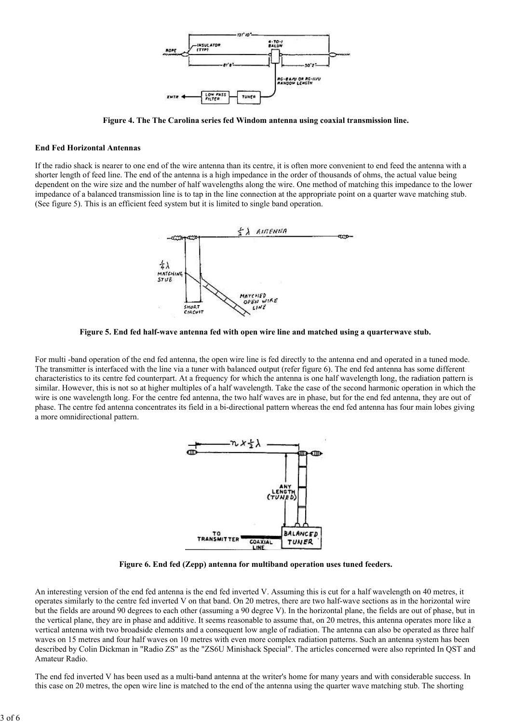

Figure 4. The The Carolina series fed Windom antenna using coaxial transmission line.

### End Fed Horizontal Antennas

If the radio shack is nearer to one end of the wire antenna than its centre, it is often more convenient to end feed the antenna with a shorter length of feed line. The end of the antenna is a high impedance in the order of thousands of ohms, the actual value being dependent on the wire size and the number of half wavelengths along the wire. One method of matching this impedance to the lower impedance of a balanced transmission line is to tap in the line connection at the appropriate point on a quarter wave matching stub. (See figure 5). This is an efficient feed system but it is limited to single band operation.



Figure 5. End fed half-wave antenna fed with open wire line and matched using a quarterwave stub.

For multi -band operation of the end fed antenna, the open wire line is fed directly to the antenna end and operated in a tuned mode. The transmitter is interfaced with the line via a tuner with balanced output (refer figure 6). The end fed antenna has some different characteristics to its centre fed counterpart. At a frequency for which the antenna is one half wavelength long, the radiation pattern is similar. However, this is not so at higher multiples of a half wavelength. Take the case of the second harmonic operation in which the wire is one wavelength long. For the centre fed antenna, the two half waves are in phase, but for the end fed antenna, they are out of phase. The centre fed antenna concentrates its field in a bi-directional pattern whereas the end fed antenna has four main lobes giving a more omnidirectional pattern.



Figure 6. End fed (Zepp) antenna for multiband operation uses tuned feeders.

An interesting version of the end fed antenna is the end fed inverted V. Assuming this is cut for a half wavelength on 40 metres, it operates similarly to the centre fed inverted V on that band. On 20 metres, there are two half-wave sections as in the horizontal wire but the fields are around 90 degrees to each other (assuming a 90 degree V). In the horizontal plane, the fields are out of phase, but in the vertical plane, they are in phase and additive. It seems reasonable to assume that, on 20 metres, this antenna operates more like a vertical antenna with two broadside elements and a consequent low angle of radiation. The antenna can also be operated as three half waves on 15 metres and four half waves on 10 metres with even more complex radiation patterns. Such an antenna system has been described by Colin Dickman in "Radio ZS" as the "ZS6U Minishack Special". The articles concerned were also reprinted In QST and Amateur Radio.

The end fed inverted V has been used as a multi-band antenna at the writer's home for many years and with considerable success. In this case on 20 metres, the open wire line is matched to the end of the antenna using the quarter wave matching stub. The shorting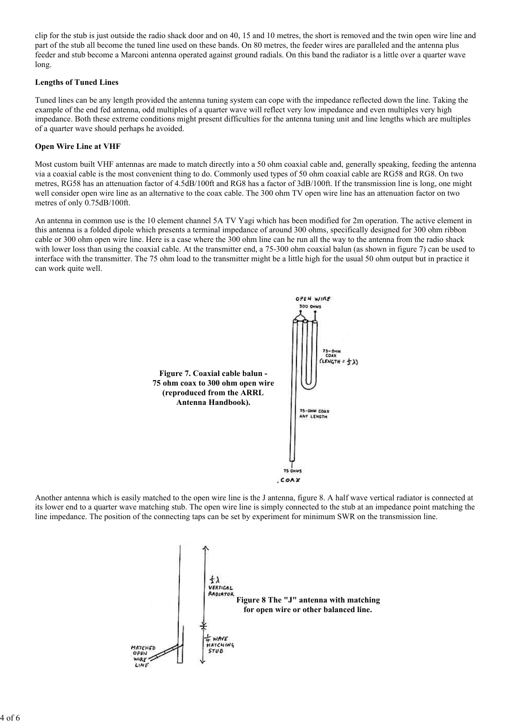clip for the stub is just outside the radio shack door and on 40, 15 and 10 metres, the short is removed and the twin open wire line and part of the stub all become the tuned line used on these bands. On 80 metres, the feeder wires are paralleled and the antenna plus feeder and stub become a Marconi antenna operated against ground radials. On this band the radiator is a little over a quarter wave long.

# Lengths of Tuned Lines

Tuned lines can be any length provided the antenna tuning system can cope with the impedance reflected down the line. Taking the example of the end fed antenna, odd multiples of a quarter wave will reflect very low impedance and even multiples very high impedance. Both these extreme conditions might present difficulties for the antenna tuning unit and line lengths which are multiples of a quarter wave should perhaps he avoided.

## Open Wire Line at VHF

Most custom built VHF antennas are made to match directly into a 50 ohm coaxial cable and, generally speaking, feeding the antenna via a coaxial cable is the most convenient thing to do. Commonly used types of 50 ohm coaxial cable are RG58 and RG8. On two metres, RG58 has an attenuation factor of 4.5dB/100ft and RG8 has a factor of 3dB/100ft. If the transmission line is long, one might well consider open wire line as an alternative to the coax cable. The 300 ohm TV open wire line has an attenuation factor on two metres of only 0.75dB/100ft.

An antenna in common use is the 10 element channel 5A TV Yagi which has been modified for 2m operation. The active element in this antenna is a folded dipole which presents a terminal impedance of around 300 ohms, specifically designed for 300 ohm ribbon cable or 300 ohm open wire line. Here is a case where the 300 ohm line can he run all the way to the antenna from the radio shack with lower loss than using the coaxial cable. At the transmitter end, a 75-300 ohm coaxial balun (as shown in figure 7) can be used to interface with the transmitter. The 75 ohm load to the transmitter might be a little high for the usual 50 ohm output but in practice it can work quite well.



Another antenna which is easily matched to the open wire line is the J antenna, figure 8. A half wave vertical radiator is connected at its lower end to a quarter wave matching stub. The open wire line is simply connected to the stub at an impedance point matching the line impedance. The position of the connecting taps can be set by experiment for minimum SWR on the transmission line.

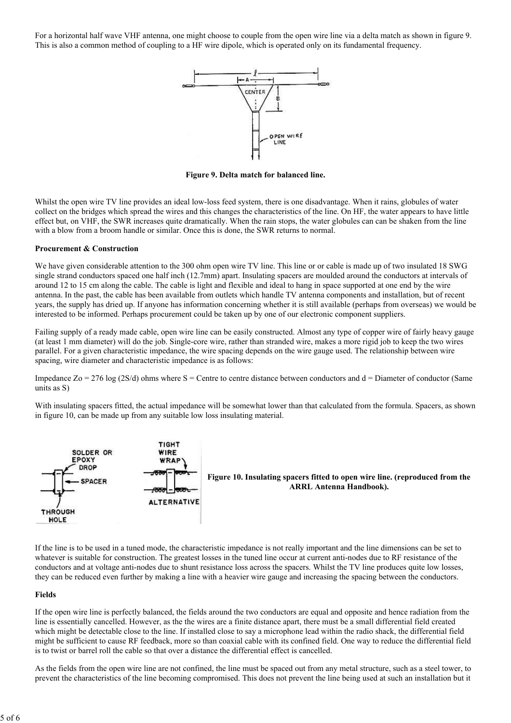For a horizontal half wave VHF antenna, one might choose to couple from the open wire line via a delta match as shown in figure 9. This is also a common method of coupling to a HF wire dipole, which is operated only on its fundamental frequency.



Figure 9. Delta match for balanced line.

Whilst the open wire TV line provides an ideal low-loss feed system, there is one disadvantage. When it rains, globules of water collect on the bridges which spread the wires and this changes the characteristics of the line. On HF, the water appears to have little effect but, on VHF, the SWR increases quite dramatically. When the rain stops, the water globules can can be shaken from the line with a blow from a broom handle or similar. Once this is done, the SWR returns to normal.

#### Procurement & Construction

We have given considerable attention to the 300 ohm open wire TV line. This line or or cable is made up of two insulated 18 SWG single strand conductors spaced one half inch (12.7mm) apart. Insulating spacers are moulded around the conductors at intervals of around 12 to 15 cm along the cable. The cable is light and flexible and ideal to hang in space supported at one end by the wire antenna. In the past, the cable has been available from outlets which handle TV antenna components and installation, but of recent years, the supply has dried up. If anyone has information concerning whether it is still available (perhaps from overseas) we would be interested to be informed. Perhaps procurement could be taken up by one of our electronic component suppliers.

Failing supply of a ready made cable, open wire line can be easily constructed. Almost any type of copper wire of fairly heavy gauge (at least 1 mm diameter) will do the job. Single-core wire, rather than stranded wire, makes a more rigid job to keep the two wires parallel. For a given characteristic impedance, the wire spacing depends on the wire gauge used. The relationship between wire spacing, wire diameter and characteristic impedance is as follows:

Impedance  $Zo = 276 \log (2S/d)$  ohms where S = Centre to centre distance between conductors and d = Diameter of conductor (Same units as S)

With insulating spacers fitted, the actual impedance will be somewhat lower than that calculated from the formula. Spacers, as shown in figure 10, can be made up from any suitable low loss insulating material.



If the line is to be used in a tuned mode, the characteristic impedance is not really important and the line dimensions can be set to whatever is suitable for construction. The greatest losses in the tuned line occur at current anti-nodes due to RF resistance of the conductors and at voltage anti-nodes due to shunt resistance loss across the spacers. Whilst the TV line produces quite low losses, they can be reduced even further by making a line with a heavier wire gauge and increasing the spacing between the conductors.

#### Fields

If the open wire line is perfectly balanced, the fields around the two conductors are equal and opposite and hence radiation from the line is essentially cancelled. However, as the the wires are a finite distance apart, there must be a small differential field created which might be detectable close to the line. If installed close to say a microphone lead within the radio shack, the differential field might be sufficient to cause RF feedback, more so than coaxial cable with its confined field. One way to reduce the differential field is to twist or barrel roll the cable so that over a distance the differential effect is cancelled.

As the fields from the open wire line are not confined, the line must be spaced out from any metal structure, such as a steel tower, to prevent the characteristics of the line becoming compromised. This does not prevent the line being used at such an installation but it